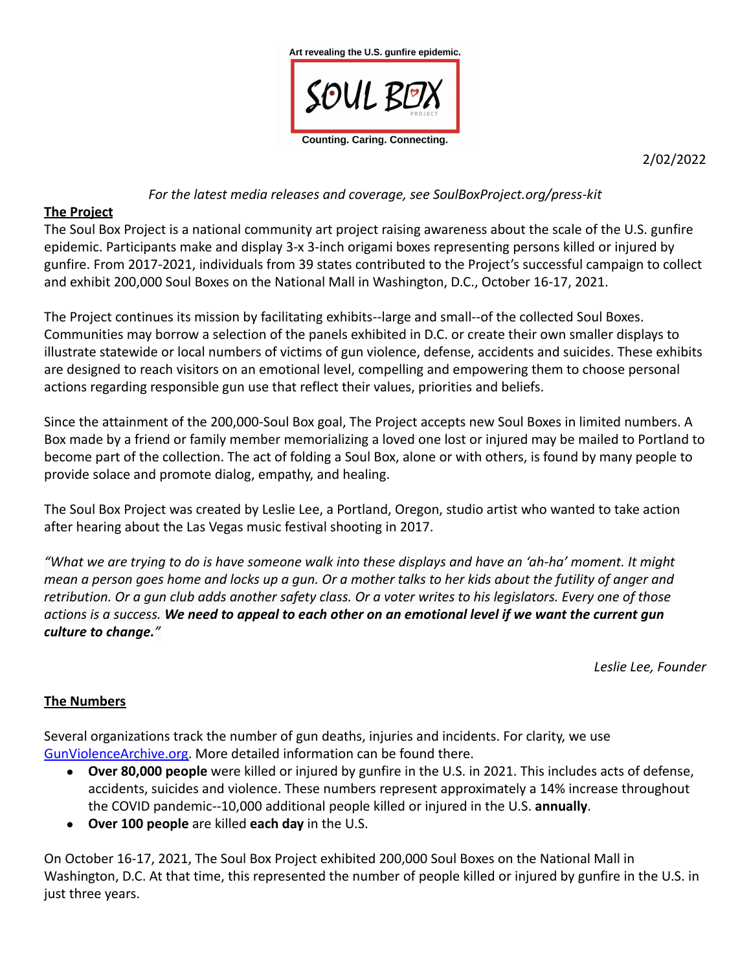

2/02/2022

#### *For the latest media releases and coverage, see SoulBoxProject.org/press-kit*

#### **The Project**

The Soul Box Project is a national community art project raising awareness about the scale of the U.S. gunfire epidemic. Participants make and display 3-x 3-inch origami boxes representing persons killed or injured by gunfire. From 2017-2021, individuals from 39 states contributed to the Project's successful campaign to collect and exhibit 200,000 Soul Boxes on the National Mall in Washington, D.C., October 16-17, 2021.

The Project continues its mission by facilitating exhibits--large and small--of the collected Soul Boxes. Communities may borrow a selection of the panels exhibited in D.C. or create their own smaller displays to illustrate statewide or local numbers of victims of gun violence, defense, accidents and suicides. These exhibits are designed to reach visitors on an emotional level, compelling and empowering them to choose personal actions regarding responsible gun use that reflect their values, priorities and beliefs.

Since the attainment of the 200,000-Soul Box goal, The Project accepts new Soul Boxes in limited numbers. A Box made by a friend or family member memorializing a loved one lost or injured may be mailed to Portland to become part of the collection. The act of folding a Soul Box, alone or with others, is found by many people to provide solace and promote dialog, empathy, and healing.

The Soul Box Project was created by Leslie Lee, a Portland, Oregon, studio artist who wanted to take action after hearing about the Las Vegas music festival shooting in 2017.

*"What we are trying to do is have someone walk into these displays and have an 'ah-ha' moment. It might mean a person goes home and locks up a gun. Or a mother talks to her kids about the futility of anger and retribution. Or a gun club adds another safety class. Or a voter writes to his legislators. Every one of those actions is a success. We need to appeal to each other on an emotional level if we want the current gun culture to change."*

*Leslie Lee, Founder*

### **The Numbers**

Several organizations track the number of gun deaths, injuries and incidents. For clarity, we use GunViolenceArchive.org. More detailed information can be found there.

- **Over 80,000 people** were killed or injured by gunfire in the U.S. in 2021. This includes acts of defense, accidents, suicides and violence. These numbers represent approximately a 14% increase throughout the COVID pandemic--10,000 additional people killed or injured in the U.S. **annually**.
- **Over 100 people** are killed **each day** in the U.S.

On October 16-17, 2021, The Soul Box Project exhibited 200,000 Soul Boxes on the National Mall in Washington, D.C. At that time, this represented the number of people killed or injured by gunfire in the U.S. in just three years.